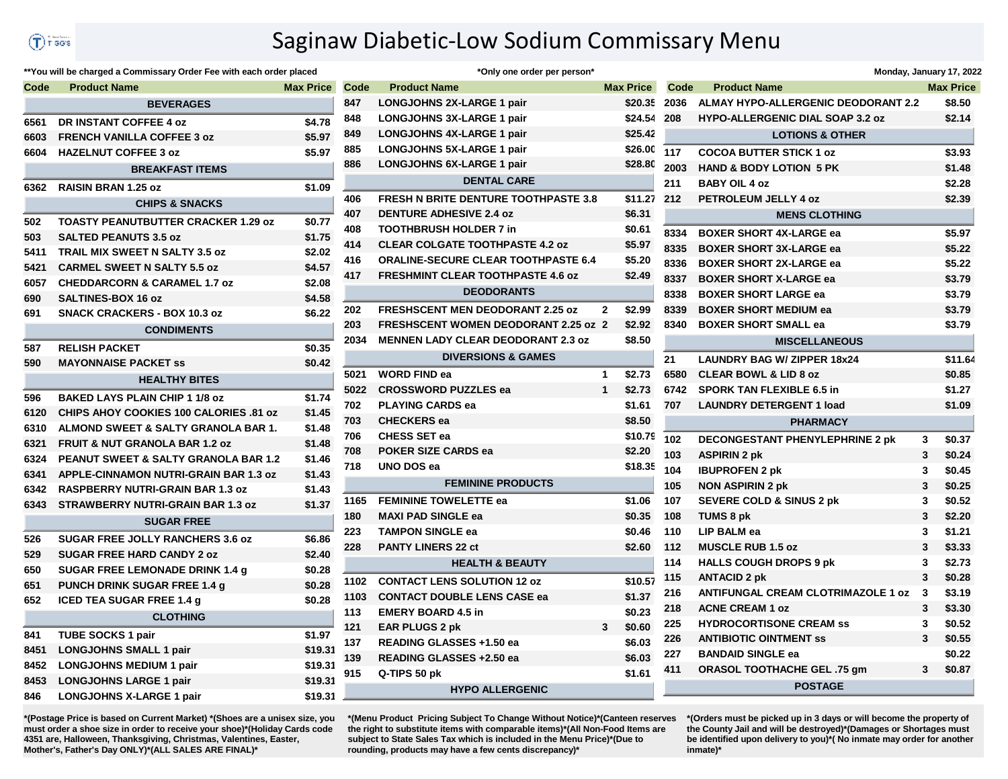## Saginaw Diabetic-Low Sodium Commissary Menu

## **Code Product Name Max Price Code Product Name Max Price Code Product Name Max Price BEVERAGES DR INSTANT COFFEE 4 oz \$4.78 FRENCH VANILLA COFFEE 3 oz \$5.97 HAZELNUT COFFEE 3 oz \$5.97 BREAKFAST ITEMS RAISIN BRAN 1.25 oz \$1.09 CHIPS & SNACKS TOASTY PEANUTBUTTER CRACKER 1.29 oz \$0.77 SALTED PEANUTS 3.5 oz \$1.75 TRAIL MIX SWEET N SALTY 3.5 oz \$2.02 CARMEL SWEET N SALTY 5.5 oz \$4.57 CHEDDARCORN & CARAMEL 1.7 oz \$2.08 SALTINES-BOX 16 oz \$4.58 SNACK CRACKERS - BOX 10.3 oz \$6.22 CONDIMENTS RELISH PACKET \$0.35 MAYONNAISE PACKET ss \$0.42 HEALTHY BITES BAKED LAYS PLAIN CHIP 1 1/8 oz \$1.74 CHIPS AHOY COOKIES 100 CALORIES .81 oz \$1.45 ALMOND SWEET & SALTY GRANOLA BAR 1. \$1.48 FRUIT & NUT GRANOLA BAR 1.2 oz \$1.48 PEANUT SWEET & SALTY GRANOLA BAR 1.2 \$1.46 APPLE-CINNAMON NUTRI-GRAIN BAR 1.3 oz \$1.43 RASPBERRY NUTRI-GRAIN BAR 1.3 oz \$1.43 STRAWBERRY NUTRI-GRAIN BAR 1.3 oz \$1.37 SUGAR FREE SUGAR FREE JOLLY RANCHERS 3.6 oz \$6.86 SUGAR FREE HARD CANDY 2 oz \$2.40 SUGAR FREE LEMONADE DRINK 1.4 g \$0.28 PUNCH DRINK SUGAR FREE 1.4 g \$0.28 ICED TEA SUGAR FREE 1.4 g \$0.28 CLOTHING TUBE SOCKS 1 pair \$1.97 LONGJOHNS SMALL 1 pair \$19.31 LONGJOHNS MEDIUM 1 pair \$19.31 LONGJOHNS LARGE 1 pair \$19.31 LONGJOHNS X-LARGE 1 pair \$19.31**

\*\*You will be charged a Commissary Order Fee with each order placed

|      | *Only one order per person*                 |             |                  |
|------|---------------------------------------------|-------------|------------------|
| Code | <b>Product Name</b>                         |             | <b>Max Price</b> |
| 847  | <b>LONGJOHNS 2X-LARGE 1 pair</b>            |             | \$20.35          |
| 848  | <b>LONGJOHNS 3X-LARGE 1 pair</b>            |             | \$24.54          |
| 849  | <b>LONGJOHNS 4X-LARGE 1 pair</b>            |             | \$25.42          |
| 885  | <b>LONGJOHNS 5X-LARGE 1 pair</b>            |             | \$26.00          |
| 886  | <b>LONGJOHNS 6X-LARGE 1 pair</b>            |             | \$28.80          |
|      | <b>DENTAL CARE</b>                          |             |                  |
| 406  | <b>FRESH N BRITE DENTURE TOOTHPASTE 3.8</b> |             | \$11.27          |
| 407  | <b>DENTURE ADHESIVE 2.4 oz</b>              |             | \$6.31           |
| 408  | <b>TOOTHBRUSH HOLDER 7 in</b>               |             | \$0.61           |
| 414  | <b>CLEAR COLGATE TOOTHPASTE 4.2 oz</b>      |             | \$5.97           |
| 416  | <b>ORALINE-SECURE CLEAR TOOTHPASTE 6.4</b>  |             | \$5.20           |
| 417  | <b>FRESHMINT CLEAR TOOTHPASTE 4.6 oz</b>    |             | \$2.49           |
|      | <b>DEODORANTS</b>                           |             |                  |
| 202  | <b>FRESHSCENT MEN DEODORANT 2.25 oz</b>     | $\mathbf 2$ | \$2.99           |
| 203  | <b>FRESHSCENT WOMEN DEODORANT 2.25 oz 2</b> |             | \$2.92           |
| 2034 | <b>MENNEN LADY CLEAR DEODORANT 2.3 oz</b>   |             | \$8.50           |
|      | <b>DIVERSIONS &amp; GAMES</b>               |             |                  |
| 5021 | <b>WORD FIND ea</b>                         | 1           | \$2.73           |
| 5022 | <b>CROSSWORD PUZZLES ea</b>                 | 1           | \$2.73           |
| 702  | <b>PLAYING CARDS ea</b>                     |             | \$1.61           |
| 703  | <b>CHECKERS</b> ea                          |             | \$8.50           |
| 706  | <b>CHESS SET ea</b>                         |             | \$10.79          |
| 708  | <b>POKER SIZE CARDS ea</b>                  |             | \$2.20           |
| 718  | UNO DOS ea                                  |             | \$18.35          |
|      | <b>FEMININE PRODUCTS</b>                    |             |                  |
| 1165 | <b>FEMININE TOWELETTE ea</b>                |             | \$1.06           |
| 180  | <b>MAXI PAD SINGLE ea</b>                   |             | \$0.35           |
| 223  | <b>TAMPON SINGLE ea</b>                     |             | \$0.46           |
| 228  | <b>PANTY LINERS 22 ct</b>                   |             | \$2.60           |
|      | <b>HEALTH &amp; BEAUTY</b>                  |             |                  |
| 1102 | <b>CONTACT LENS SOLUTION 12 oz</b>          |             | \$10.57          |
| 1103 | <b>CONTACT DOUBLE LENS CASE ea</b>          |             | \$1.37           |
| 113  | <b>EMERY BOARD 4.5 in</b>                   |             | \$0.23           |
| 121  | <b>EAR PLUGS 2 pk</b>                       | 3           | \$0.60           |
| 137  | READING GLASSES +1.50 ea                    |             | \$6.03           |
| 139  | READING GLASSES +2.50 ea                    |             | \$6.03           |
| 915  | Q-TIPS 50 pk                                |             | \$1.61           |
|      | <b>HYPO ALLERGENIC</b>                      |             |                  |
|      |                                             |             |                  |

|                      |                                           |   | Monday, January 17, 2022 |  |  |  |  |  |  |
|----------------------|-------------------------------------------|---|--------------------------|--|--|--|--|--|--|
| Code                 | <b>Product Name</b>                       |   | <b>Max Price</b>         |  |  |  |  |  |  |
| 2036                 | ALMAY HYPO-ALLERGENIC DEODORANT 2.2       |   | \$8.50                   |  |  |  |  |  |  |
| 208                  | <b>HYPO-ALLERGENIC DIAL SOAP 3.2 oz</b>   |   | \$2.14                   |  |  |  |  |  |  |
|                      | <b>LOTIONS &amp; OTHER</b>                |   |                          |  |  |  |  |  |  |
| 117                  | <b>COCOA BUTTER STICK 1 oz</b>            |   | \$3.93                   |  |  |  |  |  |  |
| 2003                 | <b>HAND &amp; BODY LOTION 5 PK</b>        |   | \$1.48                   |  |  |  |  |  |  |
| 211                  | <b>BABY OIL 4 oz</b>                      |   | \$2.28                   |  |  |  |  |  |  |
| 212                  | <b>PETROLEUM JELLY 4 oz</b>               |   |                          |  |  |  |  |  |  |
| <b>MENS CLOTHING</b> |                                           |   |                          |  |  |  |  |  |  |
| 8334                 | <b>BOXER SHORT 4X-LARGE ea</b>            |   | \$5.97                   |  |  |  |  |  |  |
| 8335                 | <b>BOXER SHORT 3X-LARGE ea</b>            |   | \$5.22                   |  |  |  |  |  |  |
| 8336                 | <b>BOXER SHORT 2X-LARGE ea</b>            |   | \$5.22                   |  |  |  |  |  |  |
| 8337                 | <b>BOXER SHORT X-LARGE ea</b>             |   | \$3.79                   |  |  |  |  |  |  |
| 8338                 | <b>BOXER SHORT LARGE ea</b>               |   | \$3.79                   |  |  |  |  |  |  |
| 8339                 | <b>BOXER SHORT MEDIUM ea</b>              |   | \$3.79                   |  |  |  |  |  |  |
| 8340                 | <b>BOXER SHORT SMALL ea</b>               |   | \$3.79                   |  |  |  |  |  |  |
|                      | <b>MISCELLANEOUS</b>                      |   |                          |  |  |  |  |  |  |
| 21                   | <b>LAUNDRY BAG W/ ZIPPER 18x24</b>        |   | \$11.64                  |  |  |  |  |  |  |
| 6580                 | <b>CLEAR BOWL &amp; LID 8 oz</b>          |   | \$0.85                   |  |  |  |  |  |  |
| 6742                 | <b>SPORK TAN FLEXIBLE 6.5 in</b>          |   | \$1.27                   |  |  |  |  |  |  |
| 707                  | <b>LAUNDRY DETERGENT 1 load</b>           |   | \$1.09                   |  |  |  |  |  |  |
|                      | <b>PHARMACY</b>                           |   |                          |  |  |  |  |  |  |
| 102                  | <b>DECONGESTANT PHENYLEPHRINE 2 pk</b>    | 3 | \$0.37                   |  |  |  |  |  |  |
| 103                  | <b>ASPIRIN 2 pk</b>                       | 3 | \$0.24                   |  |  |  |  |  |  |
| 104                  | <b>IBUPROFEN 2 pk</b>                     | 3 | \$0.45                   |  |  |  |  |  |  |
| 105                  | <b>NON ASPIRIN 2 pk</b>                   | 3 | \$0.25                   |  |  |  |  |  |  |
| 107                  | <b>SEVERE COLD &amp; SINUS 2 pk</b>       | 3 | \$0.52                   |  |  |  |  |  |  |
| 108                  | TUMS 8 pk                                 | 3 | \$2.20                   |  |  |  |  |  |  |
| 110                  | LIP BALM ea                               | 3 | \$1.21                   |  |  |  |  |  |  |
| 112                  | <b>MUSCLE RUB 1.5 oz</b>                  | 3 | \$3.33                   |  |  |  |  |  |  |
| 114                  | <b>HALLS COUGH DROPS 9 pk</b>             | 3 | \$2.73                   |  |  |  |  |  |  |
| 115                  | <b>ANTACID 2 pk</b>                       | 3 | \$0.28                   |  |  |  |  |  |  |
| 216                  | <b>ANTIFUNGAL CREAM CLOTRIMAZOLE 1 oz</b> | 3 | \$3.19                   |  |  |  |  |  |  |
| 218                  | <b>ACNE CREAM 1 oz</b>                    | 3 | \$3.30                   |  |  |  |  |  |  |
| 225                  | <b>HYDROCORTISONE CREAM SS</b>            | 3 | \$0.52                   |  |  |  |  |  |  |
| 226                  | <b>ANTIBIOTIC OINTMENT SS</b>             | 3 | \$0.55                   |  |  |  |  |  |  |
| 227                  | <b>BANDAID SINGLE ea</b>                  |   | \$0.22                   |  |  |  |  |  |  |
| 411                  | ORASOL TOOTHACHE GEL .75 gm               | 3 | \$0.87                   |  |  |  |  |  |  |
|                      | <b>POSTAGE</b>                            |   |                          |  |  |  |  |  |  |

**\*(Postage Price is based on Current Market) \*(Shoes are a unisex size, you must order a shoe size in order to receive your shoe)\*(Holiday Cards code 4351 are, Halloween, Thanksgiving, Christmas, Valentines, Easter, Mother's, Father's Day ONLY)\*(ALL SALES ARE FINAL)\***

**\*(Menu Product Pricing Subject To Change Without Notice)\*(Canteen reserves the right to substitute items with comparable items)\*(All Non-Food Items are subject to State Sales Tax which is included in the Menu Price)\*(Due to rounding, products may have a few cents discrepancy)\*** 

**\*(Orders must be picked up in 3 days or will become the property of the County Jail and will be destroyed)\*(Damages or Shortages must be identified upon delivery to you)\*( No inmate may order for another inmate)\***